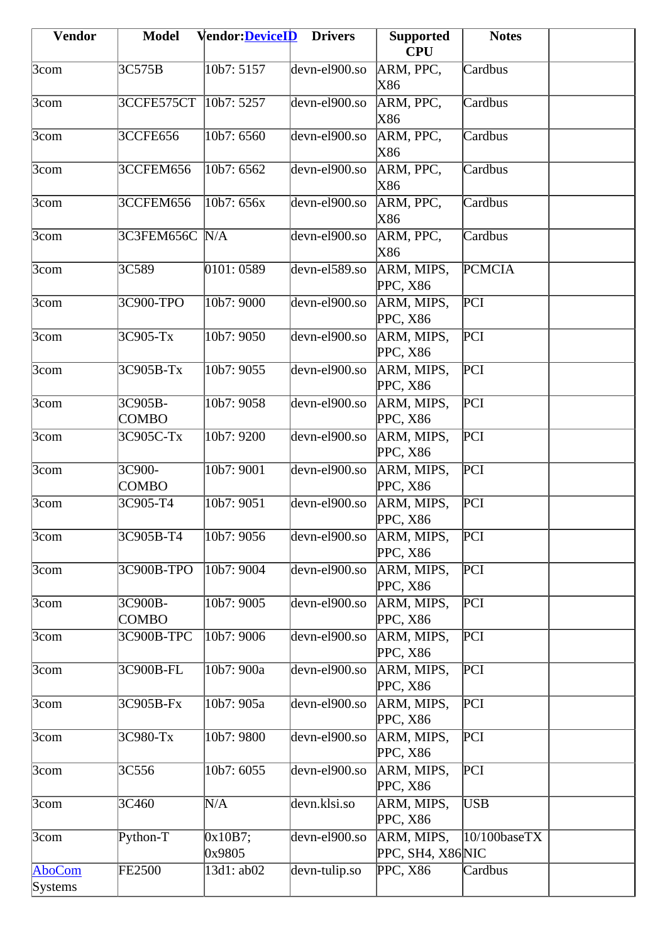| <b>Vendor</b>      | <b>Model</b>            | <b>Vendor:DeviceID</b>   | <b>Drivers</b>                               | <b>Supported</b>               | <b>Notes</b>    |  |
|--------------------|-------------------------|--------------------------|----------------------------------------------|--------------------------------|-----------------|--|
|                    |                         |                          |                                              | <b>CPU</b>                     |                 |  |
| $3$ com            | 3C575B                  | 10b7: 5157               | devn-el900.so                                | ARM, PPC,<br>X86               | Cardbus         |  |
| 3com               | 3CCFE575CT              | 10 <sub>b7</sub> : 5257  | devn-el900.so                                | ARM, PPC,<br>X86               | Cardbus         |  |
| 3com               | <b>3CCFE656</b>         | 10b7: 6560               | devn-el900.so                                | ARM, PPC,<br>X86               | Cardbus         |  |
| $3$ com            | 3CCFEM656               | 10b7: 6562               | devn-el900.so                                | ARM, PPC,<br>X86               | Cardbus         |  |
| 3com               | 3CCFEM656               | 10b7: 656x               | devn-el900.so                                | ARM, PPC,<br>X86               | Cardbus         |  |
| $3$ com            | 3C3FEM656C N/A          |                          | devn-el900.so                                | ARM, PPC,<br>X86               | Cardbus         |  |
| $3$ com            | 3C589                   | 0101:0589                | devn-el589.so                                | ARM, MIPS,<br><b>PPC, X86</b>  | <b>PCMCIA</b>   |  |
| $\overline{3}$ com | 3C900-TPO               | 10b7: 9000               | devn-el900.so                                | ARM, MIPS,<br><b>PPC, X86</b>  | PCI             |  |
| 3com               | 3C905-Tx                | 10b7: 9050               | devn-el900.so                                | ARM, MIPS,<br>PPC, X86         | PCI             |  |
| 3com               | 3C905B-Tx               | 10b7: 9055               | devn-el900.so                                | ARM, MIPS,<br>PPC, X86         | PCI             |  |
| 3com               | 3C905B-<br><b>COMBO</b> | 10 <sub>b</sub> 7:9058   | devn-el900.so                                | ARM, MIPS,<br>PPC, X86         | PCI             |  |
| 3com               | 3C905C-Tx               | 10b7: 9200               | devn-el900.so                                | ARM, MIPS,<br>PPC, X86         | PCI             |  |
| $\overline{3}$ com | 3C900-<br><b>COMBO</b>  | 10b7: 9001               | $\overline{\text{dev}}$ n-el $900.\text{so}$ | ARM, MIPS,<br>PPC, X86         | PCI             |  |
| $3$ com            | 3C905-T4                | 10b7: 9051               | devn-el900.so                                | ARM, MIPS,<br>PPC, X86         | PCI             |  |
| $3$ com            | 3C905B-T4               | 10b7: 9056               | devn-el900.so                                | ARM, MIPS,<br>PPC, X86         | PCI             |  |
| 3com               | 3C900B-TPO              | 10b7: 9004               | devn-el900.so                                | ARM, MIPS,<br>PPC, X86         | PCI             |  |
| $3$ com            | 3C900B-<br><b>COMBO</b> | $\overline{10b7}$ : 9005 | devn-el900.so                                | ARM, MIPS,<br>PPC, X86         | PCI             |  |
| $3$ com            | 3C900B-TPC              | 10b7: 9006               | devn-el900.so                                | ARM, MIPS,<br><b>PPC, X86</b>  | PCI             |  |
| $3$ com            | 3C900B-FL               | 10b7: 900a               | devn-el900.so                                | ARM, MIPS,<br>PPC, X86         | PCI             |  |
| $3$ com            | 3C905B-Fx               | 10b7: 905a               | devn-el900.so                                | ARM, MIPS,<br>PPC, X86         | PCI             |  |
| $3$ com            | 3C980-Tx                | 10b7: 9800               | devn-el900.so                                | ARM, MIPS,<br>PPC, X86         | PCI             |  |
| $\overline{3}$ com | 3C556                   | 10b7: 6055               | devn-el900.so                                | ARM, MIPS,<br>PPC, X86         | PCI             |  |
| $3$ com            | 3C460                   | N/A                      | devn.klsi.so                                 | ARM, MIPS,<br>PPC, X86         | USB             |  |
| $3$ com            | Python-T                | 0x10B7;<br>0x9805        | devn-el900.so                                | ARM, MIPS,<br>PPC, SH4, X86NIC | $10/100$ baseTX |  |
| AboCom<br>Systems  | <b>FE2500</b>           | 13d1: ab02               | devn-tulip.so                                | PPC, X86                       | Cardbus         |  |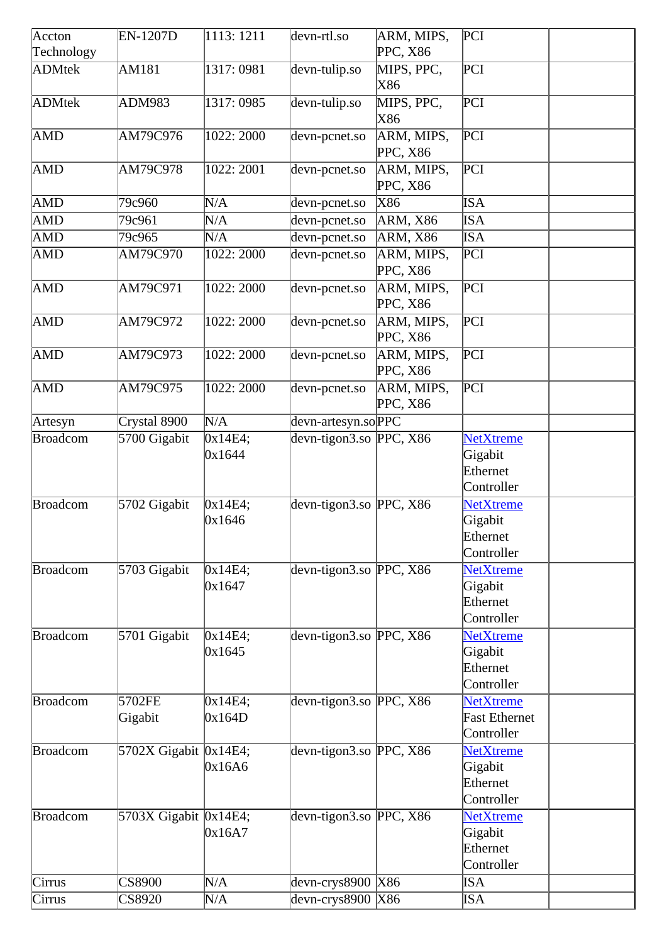| Accton          | <b>EN-1207D</b>                     | $\overline{1113:1211}$ | devn-rtl.so               | ARM, MIPS,             | PCI                                                    |  |
|-----------------|-------------------------------------|------------------------|---------------------------|------------------------|--------------------------------------------------------|--|
| Technology      |                                     |                        |                           | PPC, X86               |                                                        |  |
| ADMtek          | AM181                               | 1317: 0981             | devn-tulip.so             | MIPS, PPC,<br>X86      | PCI                                                    |  |
| <b>ADMtek</b>   | <b>ADM983</b>                       | 1317: 0985             | devn-tulip.so             | MIPS, PPC,<br>X86      | PCI                                                    |  |
| AMD             | AM79C976                            | 1022: 2000             | devn-pcnet.so             | ARM, MIPS,<br>PPC, X86 | PCI                                                    |  |
| <b>AMD</b>      | AM79C978                            | 1022: 2001             | devn-pcnet.so             | ARM, MIPS,<br>PPC, X86 | $\overline{PCI}$                                       |  |
| AMD             | 79c960                              | N/A                    | devn-pcnet.so             | X86                    | <b>ISA</b>                                             |  |
| AMD             | 79c961                              | N/A                    | devn-pcnet.so             | $ARM$ , X86            | <b>ISA</b>                                             |  |
| AMD             | 79c965                              | N/A                    | devn-pcnet.so             | ARM, X86               | ISA                                                    |  |
| AMD             | AM79C970                            | 1022: 2000             | devn-pcnet.so             | ARM, MIPS,<br>PPC, X86 | PCI                                                    |  |
| <b>AMD</b>      | AM79C971                            | 1022: 2000             | devn-pcnet.so             | ARM, MIPS,<br>PPC, X86 | PCI                                                    |  |
| AMD             | AM79C972                            | 1022: 2000             | devn-pcnet.so             | ARM, MIPS,<br>PPC, X86 | PCI                                                    |  |
| <b>AMD</b>      | AM79C973                            | 1022: 2000             | devn-pcnet.so             | ARM, MIPS,<br>PPC, X86 | $\overline{PCI}$                                       |  |
| AMD             | AM79C975                            | 1022: 2000             | devn-pcnet.so             | ARM, MIPS,<br>PPC, X86 | $\overline{PCI}$                                       |  |
| Artesyn         | Crystal 8900                        | N/A                    | devn-artesyn.soPPC        |                        |                                                        |  |
| <b>Broadcom</b> | 5700 Gigabit                        | 0x14E4;<br>0x1644      | devn-tigon3.so PPC, X86   |                        | <b>NetXtreme</b><br>Gigabit<br>Ethernet<br>Controller  |  |
| <b>Broadcom</b> | 5702 Gigabit                        | 0x14E4;<br>0x1646      | devn-tigon3.so PPC, $X86$ |                        | <b>NetXtreme</b><br>Gigabit<br>Ethernet<br>Controller  |  |
| <b>Broadcom</b> | 5703 Gigabit                        | 0x14E4;<br>0x1647      | devn-tigon3.so PPC, X86   |                        | <b>NetXtreme</b><br>Gigabit<br>Ethernet<br>Controller  |  |
| <b>Broadcom</b> | 5701 Gigabit                        | 0x14E4;<br>0x1645      | devn-tigon3.so PPC, X86   |                        | <b>NetXtreme</b><br>Gigabit<br>Ethernet<br>Controller  |  |
| Broadcom        | 5702FE<br>Gigabit                   | 0x14E4;<br>0x164D      | devn-tigon3.so PPC, $X86$ |                        | <b>NetXtreme</b><br><b>Fast Ethernet</b><br>Controller |  |
| <b>Broadcom</b> | 5702X Gigabit $\vert 0x14E4; \vert$ | 0x16A6                 | devn-tigon3.so PPC, $X86$ |                        | <b>NetXtreme</b><br>Gigabit<br>Ethernet<br>Controller  |  |
| <b>Broadcom</b> | 5703X Gigabit $\vert 0x14E4; \vert$ | 0x16A7                 | devn-tigon3.so PPC, $X86$ |                        | <b>NetXtreme</b><br>Gigabit<br>Ethernet<br>Controller  |  |
| Cirrus          | $\overline{\text{CS8900}}$          | N/A                    | devn-crys8900 X86         |                        | ISA                                                    |  |
| Cirrus          | CS8920                              | N/A                    | devn-crys8900 X86         |                        | ISA                                                    |  |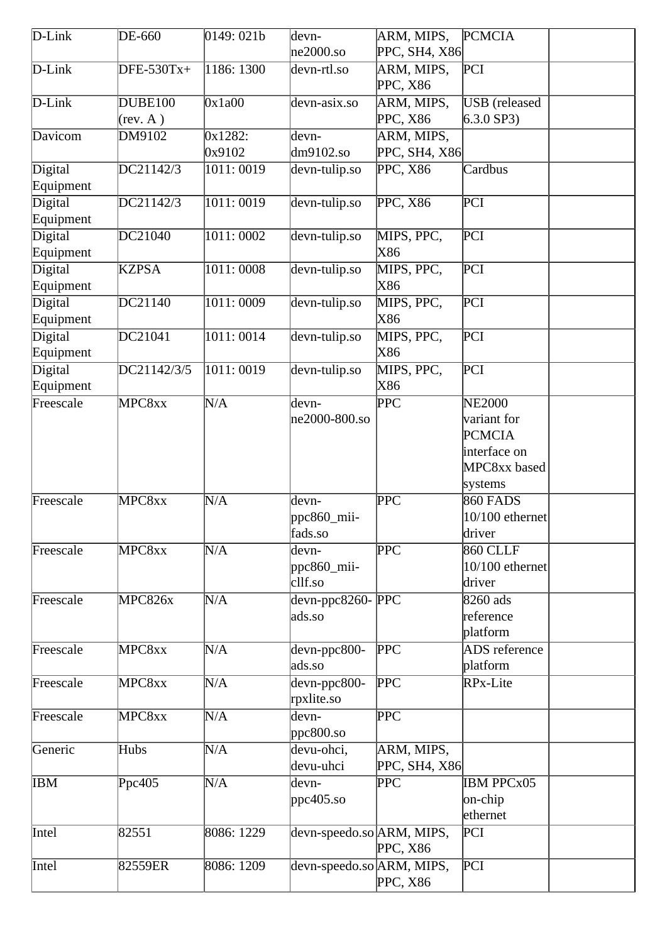| D-Link               | DE-660              | 0149:021b         | devn-<br>$ne2000$ .so                       | ARM, MIPS,<br>PPC, SH4, X86 | <b>PCMCIA</b>                                                                            |
|----------------------|---------------------|-------------------|---------------------------------------------|-----------------------------|------------------------------------------------------------------------------------------|
| $D$ -Link            | DFE-530Tx+          | 1186: 1300        | devn-rtl.so                                 | ARM, MIPS,<br>PPC, X86      | PCI                                                                                      |
| $D$ -Link            | DUBE100<br>(rev. A) | 0x1a00            | devn-asix.so                                | ARM, MIPS,<br>PPC, X86      | <b>USB</b> (released<br>$6.3.0$ SP3)                                                     |
| Davicom              | DM9102              | 0x1282:<br>0x9102 | devn-<br>$dm9102$ .so                       | ARM, MIPS,<br>PPC, SH4, X86 |                                                                                          |
| Digital<br>Equipment | DC21142/3           | 1011:0019         | devn-tulip.so                               | PPC, X86                    | Cardbus                                                                                  |
| Digital<br>Equipment | DC21142/3           | 1011:0019         | devn-tulip.so                               | PPC, X86                    | PCI                                                                                      |
| Digital<br>Equipment | DC21040             | 1011:0002         | devn-tulip.so                               | MIPS, PPC,<br>X86           | $\overline{PCI}$                                                                         |
| Digital<br>Equipment | <b>KZPSA</b>        | 1011:0008         | devn-tulip.so                               | MIPS, PPC,<br>X86           | PCI                                                                                      |
| Digital<br>Equipment | DC21140             | 1011:0009         | devn-tulip.so                               | MIPS, PPC,<br>X86           | PCI                                                                                      |
| Digital<br>Equipment | DC21041             | 1011:0014         | devn-tulip.so                               | MIPS, PPC,<br>X86           | PCI                                                                                      |
| Digital<br>Equipment | DC21142/3/5         | 1011:0019         | devn-tulip.so                               | MIPS, PPC,<br>X86           | PCI                                                                                      |
| Freescale            | MPC8xx              | N/A               | devn-<br>ne2000-800.so                      | <b>PPC</b>                  | <b>NE2000</b><br>variant for<br><b>PCMCIA</b><br>interface on<br>MPC8xx based<br>systems |
| Freescale            | MPC8xx              | N/A               | devn-<br>ppc $860$ _mii-<br>fads.so         | PPC                         | <b>860 FADS</b><br>$10/100$ ethernet<br>driver                                           |
| Freescale            | MPC8xx              | N/A               | devn-<br>ppc860_mii-<br>cllf.so             | PPC                         | 860 CLLF<br>10/100 ethernet<br>driver                                                    |
| Freescale            | MPC826x             | N/A               | $devn$ -ppc8260- $\overline{PPC}$<br>ads.so |                             | 8260 ads<br>reference<br>platform                                                        |
| Freescale            | MPC8xx              | N/A               | $devn-ppc800-$<br>ads.so                    | PPC                         | <b>ADS</b> reference<br>platform                                                         |
| Freescale            | MPC8xx              | N/A               | $devn-ppc800-$<br>rpxlite.so                | PPC                         | RPx-Lite                                                                                 |
| Freescale            | MPC8xx              | N/A               | devn-<br>$ppc800$ .so                       | $\overline{\text{PPC}}$     |                                                                                          |
| Generic              | Hubs                | N/A               | devu-ohci,<br>devu-uhci                     | ARM, MIPS,<br>PPC, SH4, X86 |                                                                                          |
| IBM                  | Ppc405              | N/A               | devn-<br>ppc405.so                          | $\overline{\text{PPC}}$     | <b>IBM PPCx05</b><br>on-chip<br>ethernet                                                 |
| Intel                | 82551               | 8086: 1229        | devn-speedo.so ARM, MIPS,                   | PPC, X86                    | PCI                                                                                      |
| Intel                | 82559ER             | 8086: 1209        | devn-speedo.so ARM, MIPS,                   | PPC, X86                    | PCI                                                                                      |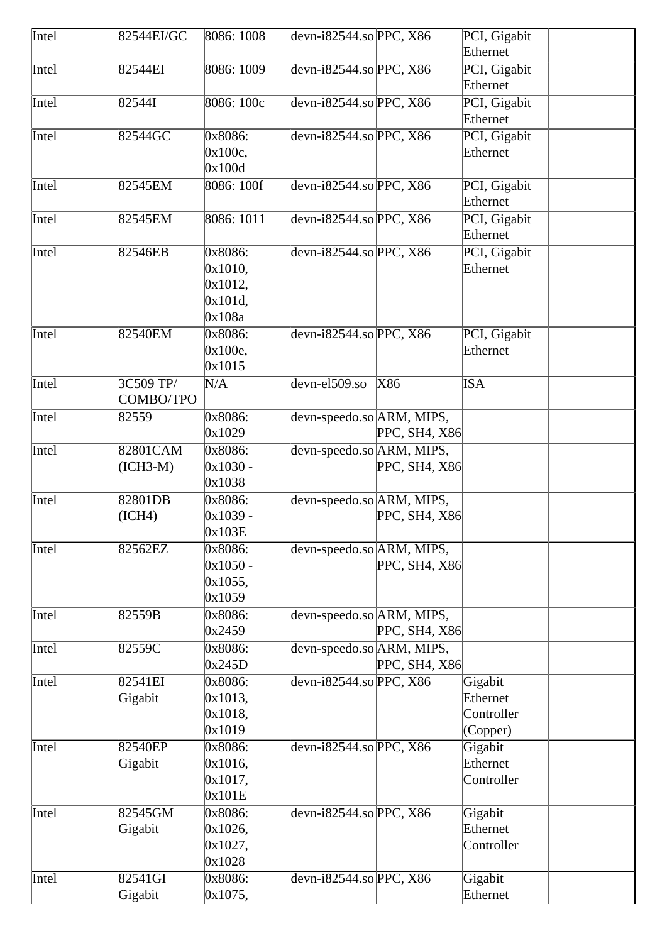| Intel | 82544EI/GC | 8086: 1008 | devn-i $82544$ .so PPC, X86 |               | PCI, Gigabit |
|-------|------------|------------|-----------------------------|---------------|--------------|
|       |            |            |                             |               | Ethernet     |
| Intel | 82544EI    | 8086: 1009 | devn-i82544.so $ $ PPC, X86 |               | PCI, Gigabit |
|       |            |            |                             |               | Ethernet     |
| Intel | 82544I     | 8086: 100c | $devn-i82544$ .so PPC, X86  |               | PCI, Gigabit |
|       |            |            |                             |               | Ethernet     |
| Intel | 82544GC    | 0x8086:    | devn-i82544.so $ $ PPC, X86 |               | PCI, Gigabit |
|       |            | 0x100c,    |                             |               | Ethernet     |
|       |            | 0x100d     |                             |               |              |
| Intel | 82545EM    | 8086: 100f | devn-i82544.so PPC, X86     |               | PCI, Gigabit |
|       |            |            |                             |               | Ethernet     |
| Intel | 82545EM    | 8086: 1011 | devn-i82544.so PPC, $X86$   |               | PCI, Gigabit |
|       |            |            |                             |               | Ethernet     |
| Intel | 82546EB    | 0x8086:    | devn-i82544.so PPC, $X86$   |               | PCI, Gigabit |
|       |            | 0x1010,    |                             |               | Ethernet     |
|       |            | 0x1012,    |                             |               |              |
|       |            | 0x101d,    |                             |               |              |
|       |            | 0x108a     |                             |               |              |
| Intel | 82540EM    | 0x8086:    | devn-i82544.so $ $ PPC, X86 |               | PCI, Gigabit |
|       |            | 0x100e,    |                             |               | Ethernet     |
|       |            | 0x1015     |                             |               |              |
| Intel | 3C509 TP/  | N/A        | devn-el509.so               | X86           | <b>ISA</b>   |
|       | COMBO/TPO  |            |                             |               |              |
| Intel | 82559      | 0x8086:    | devn-speedo.so ARM, MIPS,   |               |              |
|       |            | 0x1029     |                             | PPC, SH4, X86 |              |
| Intel | 82801CAM   | 0x8086:    | devn-speedo.so ARM, MIPS,   |               |              |
|       | $(ICH3-M)$ | $0x1030 -$ |                             | PPC, SH4, X86 |              |
|       |            | 0x1038     |                             |               |              |
| Intel | 82801DB    | 0x8086:    | devn-speedo.so ARM, MIPS,   |               |              |
|       | (ICH4)     | 0x1039 -   |                             | PPC, SH4, X86 |              |
|       |            | 0x103E     |                             |               |              |
| Intel | 82562EZ    | 0x8086:    | devn-speedo.so ARM, MIPS,   |               |              |
|       |            | 0x1050 -   |                             | PPC, SH4, X86 |              |
|       |            | 0x1055,    |                             |               |              |
|       |            | 0x1059     |                             |               |              |
| Intel | 82559B     | 0x8086:    | devn-speedo.so ARM, MIPS,   |               |              |
|       |            | 0x2459     |                             | PPC, SH4, X86 |              |
| Intel | 82559C     | 0x8086:    | devn-speedo.so ARM, MIPS,   |               |              |
|       |            | 0x245D     |                             | PPC, SH4, X86 |              |
| Intel | 82541EI    | 0x8086:    | devn-i82544.so PPC, $X86$   |               | Gigabit      |
|       | Gigabit    | 0x1013,    |                             |               | Ethernet     |
|       |            | 0x1018,    |                             |               | Controller   |
|       |            | 0x1019     |                             |               | (Copper)     |
| Intel | 82540EP    | 0x8086:    | devn-i82544.so PPC, $X86$   |               | Gigabit      |
|       | Gigabit    | 0x1016,    |                             |               | Ethernet     |
|       |            | 0x1017,    |                             |               | Controller   |
|       |            | 0x101E     |                             |               |              |
| Intel | 82545GM    | 0x8086:    | devn-i82544.so PPC, $X86$   |               | Gigabit      |
|       | Gigabit    | 0x1026,    |                             |               | Ethernet     |
|       |            | 0x1027,    |                             |               | Controller   |
|       |            | 0x1028     |                             |               |              |
| Intel | 82541GI    | 0x8086:    | devn-i82544.so PPC, $X86$   |               | Gigabit      |
|       | Gigabit    | 0x1075,    |                             |               | Ethernet     |
|       |            |            |                             |               |              |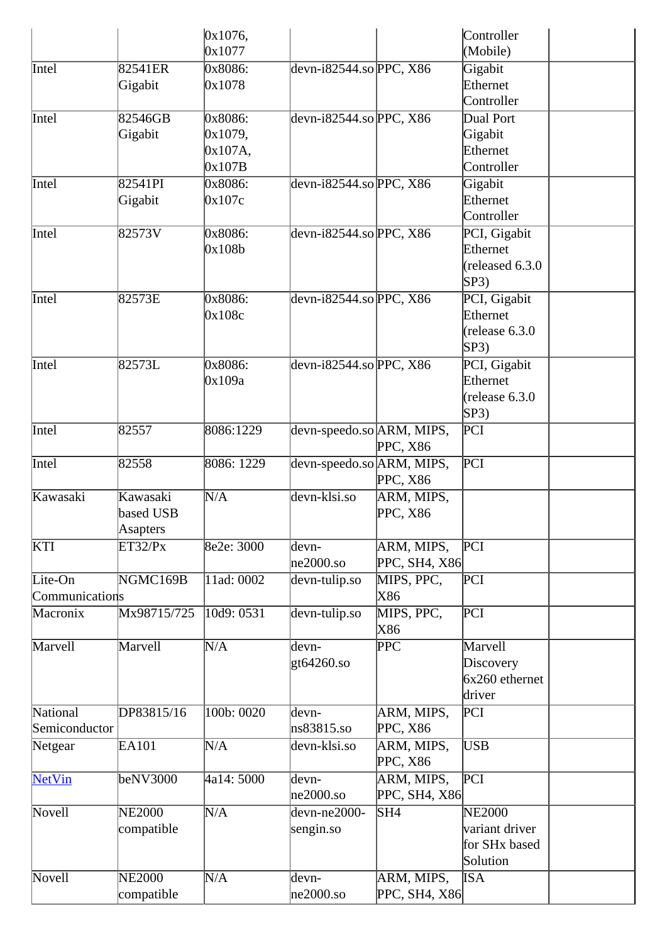|                |                     | 0x1076,           |                             |                   | Controller               |  |
|----------------|---------------------|-------------------|-----------------------------|-------------------|--------------------------|--|
|                |                     | 0x1077            |                             |                   | (Mobile)                 |  |
| Intel          | 82541ER             | 0x8086:           | devn-i82544.so $ $ PPC, X86 |                   | Gigabit                  |  |
|                | Gigabit             | 0x1078            |                             |                   | Ethernet                 |  |
|                |                     |                   |                             |                   | Controller               |  |
| Intel          | 82546GB             | 0x8086:           | devn-i82544.so PPC, $X86$   |                   | Dual Port                |  |
|                | Gigabit             | 0x1079,           |                             |                   | Gigabit                  |  |
|                |                     | 0x107A,           |                             |                   | Ethernet                 |  |
|                |                     | 0x107B            |                             |                   | Controller               |  |
| Intel          | 82541PI             | 0x8086:           | devn-i82544.so $ $ PPC, X86 |                   | Gigabit                  |  |
|                | Gigabit             | 0x107c            |                             |                   | Ethernet                 |  |
|                |                     |                   |                             |                   | Controller               |  |
| Intel          | 82573V              | 0x8086:           | devn-i82544.so $ $ PPC, X86 |                   | PCI, Gigabit             |  |
|                |                     | 0x108b            |                             |                   | Ethernet                 |  |
|                |                     |                   |                             |                   | (released 6.3.0)         |  |
|                |                     |                   |                             |                   | SP3)                     |  |
| Intel          | 82573E              | 0x8086:           | devn-i82544.so PPC, X86     |                   | PCI, Gigabit             |  |
|                |                     | 0x108c            |                             |                   | Ethernet                 |  |
|                |                     |                   |                             |                   | (release 6.3.0)          |  |
|                |                     |                   |                             |                   | SP3)                     |  |
| Intel          | 82573L              | 0x8086:<br>0x109a | devn-i82544.so $ $ PPC, X86 |                   | PCI, Gigabit<br>Ethernet |  |
|                |                     |                   |                             |                   |                          |  |
|                |                     |                   |                             |                   | (release 6.3.0)<br>SP3)  |  |
|                |                     |                   |                             |                   |                          |  |
| Intel          | 82557               | 8086:1229         | devn-speedo.so ARM, MIPS,   |                   | PCI                      |  |
| Intel          | 82558               | 8086: 1229        |                             | PPC, X86          |                          |  |
|                |                     |                   | devn-speedo.so ARM, MIPS,   | PPC, X86          | PCI                      |  |
|                | Kawasaki            |                   | devn-klsi.so                |                   |                          |  |
| Kawasaki       |                     | N/A               |                             | ARM, MIPS,        |                          |  |
|                | based USB           |                   |                             | PPC, X86          |                          |  |
| KTI            | Asapters<br>ET32/Px | 8e2e: 3000        | devn-                       | ARM, MIPS,        | PCI                      |  |
|                |                     |                   | $ne2000$ .so                | PPC, SH4, X86     |                          |  |
| Lite-On        | NGMC169B            | 11ad: 0002        |                             |                   | PCI                      |  |
| Communications |                     |                   | devn-tulip.so               | MIPS, PPC,<br>X86 |                          |  |
| Macronix       | Mx98715/725         | 10d9: 0531        |                             |                   | PCI                      |  |
|                |                     |                   | devn-tulip.so               | MIPS, PPC,<br>X86 |                          |  |
| Marvell        | Marvell             | N/A               | devn-                       | PPC               | Marvell                  |  |
|                |                     |                   | gt64260.so                  |                   | Discovery                |  |
|                |                     |                   |                             |                   | $6x260$ ethernet         |  |
|                |                     |                   |                             |                   | driver                   |  |
| National       | DP83815/16          | 100b: 0020        | devn-                       | ARM, MIPS,        | PCI                      |  |
| Semiconductor  |                     |                   | ns83815.so                  | PPC, X86          |                          |  |
| Netgear        | EA101               | N/A               | devn-klsi.so                | ARM, MIPS,        | <b>USB</b>               |  |
|                |                     |                   |                             | PPC, X86          |                          |  |
| NetVin         | beNV3000            | 4a14: 5000        | devn-                       | ARM, MIPS,        | $\overline{PCI}$         |  |
|                |                     |                   | $ne2000$ .so                | PPC, SH4, X86     |                          |  |
| Novell         | <b>NE2000</b>       | N/A               | devn-ne2000-                | SH4               | <b>NE2000</b>            |  |
|                | compatible          |                   | sengin.so                   |                   | variant driver           |  |
|                |                     |                   |                             |                   | for SHx based            |  |
|                |                     |                   |                             |                   | Solution                 |  |
| Novell         | <b>NE2000</b>       | N/A               | devn-                       | ARM, MIPS,        | <b>ISA</b>               |  |
|                | compatible          |                   | $ne2000$ .so                | PPC, SH4, X86     |                          |  |
|                |                     |                   |                             |                   |                          |  |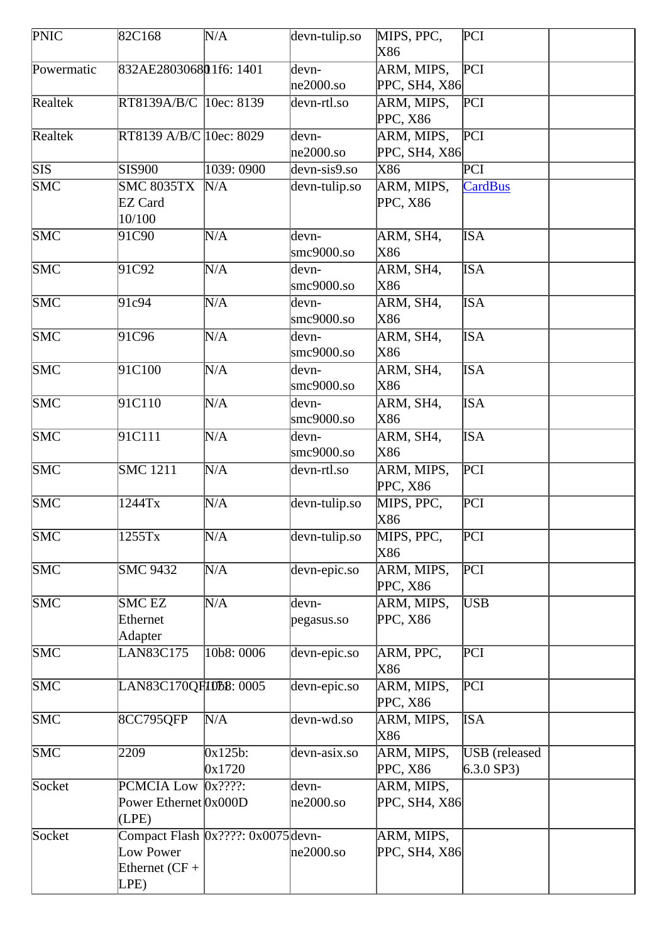| <b>PNIC</b>             | 82C168                                        | N/A                                | devn-tulip.so          | MIPS, PPC,<br>X86           | PCI                                  |  |
|-------------------------|-----------------------------------------------|------------------------------------|------------------------|-----------------------------|--------------------------------------|--|
| Powermatic              | 832AE280306801f6: 1401                        |                                    | devn-<br>$ne2000$ .so  | ARM, MIPS,<br>PPC, SH4, X86 | PCI                                  |  |
| Realtek                 | RT8139A/B/C 10ec: 8139                        |                                    | devn-rtl.so            | ARM, MIPS,<br>PPC, X86      | PCI                                  |  |
| Realtek                 | RT8139 A/B/C 10ec: 8029                       |                                    | devn-<br>$ne2000$ .so  | ARM, MIPS,<br>PPC, SH4, X86 | PCI                                  |  |
| <b>SIS</b>              | <b>SIS900</b>                                 | 1039: 0900                         | devn-sis9.so           | X86                         | PCI                                  |  |
| $\overline{\text{SMC}}$ | <b>SMC 8035TX</b><br><b>EZ Card</b><br>10/100 | N/A                                | devn-tulip.so          | ARM, MIPS,<br>PPC, X86      | <b>CardBus</b>                       |  |
| <b>SMC</b>              | 91C90                                         | N/A                                | devn-<br>$smc9000$ .so | ARM, SH4,<br>X86            | <b>ISA</b>                           |  |
| <b>SMC</b>              | 91C92                                         | N/A                                | devn-<br>smc9000.so    | ARM, SH4,<br>X86            | <b>ISA</b>                           |  |
| <b>SMC</b>              | 91c94                                         | N/A                                | devn-<br>smc9000.so    | ARM, SH4,<br>X86            | <b>ISA</b>                           |  |
| <b>SMC</b>              | 91C96                                         | N/A                                | devn-<br>smc9000.so    | ARM, SH4,<br>X86            | <b>ISA</b>                           |  |
| <b>SMC</b>              | 91C100                                        | N/A                                | devn-<br>smc9000.so    | ARM, SH4,<br>X86            | <b>ISA</b>                           |  |
| <b>SMC</b>              | 91C110                                        | N/A                                | devn-<br>smc9000.so    | ARM, SH4,<br>X86            | <b>ISA</b>                           |  |
| <b>SMC</b>              | 91C111                                        | N/A                                | devn-<br>smc9000.so    | ARM, SH4,<br>X86            | <b>ISA</b>                           |  |
| $\overline{\text{SMC}}$ | <b>SMC</b> 1211                               | N/A                                | devn-rtl.so            | ARM, MIPS,<br>PPC, X86      | PCI                                  |  |
| $\overline{\text{SMC}}$ | 1244Tx                                        | N/A                                | devn-tulip.so          | MIPS, PPC,<br>X86           | PCI                                  |  |
| <b>SMC</b>              | 1255Tx                                        | N/A                                | devn-tulip.so          | MIPS, PPC,<br>X86           | PCI                                  |  |
| <b>SMC</b>              | <b>SMC 9432</b>                               | N/A                                | devn-epic.so           | ARM, MIPS,<br>PPC, X86      | PCI                                  |  |
| SMC                     | <b>SMC EZ</b><br>Ethernet<br>Adapter          | N/A                                | devn-<br>pegasus.so    | ARM, MIPS,<br>PPC, X86      | USB                                  |  |
| SMC                     | LAN83C175                                     | 10b8: 0006                         | devn-epic.so           | ARM, PPC,<br>X86            | PCI                                  |  |
| <b>SMC</b>              | LAN83C170QF10bB: 0005                         |                                    | devn-epic.so           | ARM, MIPS,<br>PPC, X86      | PCI                                  |  |
| <b>SMC</b>              | 8CC795QFP                                     | N/A                                | devn-wd.so             | ARM, MIPS,<br>X86           | <b>ISA</b>                           |  |
| <b>SMC</b>              | 2209                                          | $0x125b$ :<br>0x1720               | devn-asix.so           | ARM, MIPS,<br>PPC, X86      | <b>USB</b> (released<br>$6.3.0$ SP3) |  |
| Socket                  | PCMCIA Low<br>Power Ethernet Ox000D<br>(LPE)  | $0x$ ????:                         | devn-<br>$he2000$ .so  | ARM, MIPS,<br>PPC, SH4, X86 |                                      |  |
| Socket                  | Low Power<br>Ethernet $(CF +$<br>LPE)         | Compact Flash 0x????: 0x0075 devn- | $ne2000$ .so           | ARM, MIPS,<br>PPC, SH4, X86 |                                      |  |